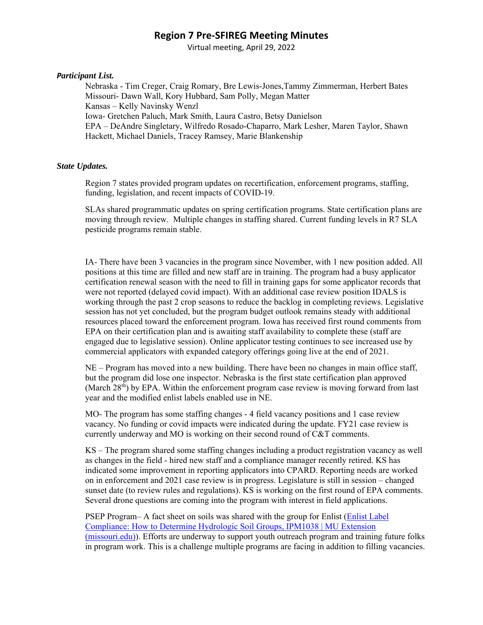Virtual meeting, April 29, 2022

### *Participant List.*

Nebraska - Tim Creger, Craig Romary, Bre Lewis-Jones,Tammy Zimmerman, Herbert Bates Missouri- Dawn Wall, Kory Hubbard, Sam Polly, Megan Matter Kansas – Kelly Navinsky Wenzl Iowa- Gretchen Paluch, Mark Smith, Laura Castro, Betsy Danielson EPA – DeAndre Singletary, Wilfredo Rosado-Chaparro, Mark Lesher, Maren Taylor, Shawn Hackett, Michael Daniels, Tracey Ramsey, Marie Blankenship

### *State Updates.*

Region 7 states provided program updates on recertification, enforcement programs, staffing, funding, legislation, and recent impacts of COVID-19.

SLAs shared programmatic updates on spring certification programs. State certification plans are moving through review. Multiple changes in staffing shared. Current funding levels in R7 SLA pesticide programs remain stable.

IA- There have been 3 vacancies in the program since November, with 1 new position added. All positions at this time are filled and new staff are in training. The program had a busy applicator certification renewal season with the need to fill in training gaps for some applicator records that were not reported (delayed covid impact). With an additional case review position IDALS is working through the past 2 crop seasons to reduce the backlog in completing reviews. Legislative session has not yet concluded, but the program budget outlook remains steady with additional resources placed toward the enforcement program. Iowa has received first round comments from EPA on their certification plan and is awaiting staff availability to complete these (staff are engaged due to legislative session). Online applicator testing continues to see increased use by commercial applicators with expanded category offerings going live at the end of 2021.

NE – Program has moved into a new building. There have been no changes in main office staff, but the program did lose one inspector. Nebraska is the first state certification plan approved (March  $28<sup>th</sup>$ ) by EPA. Within the enforcement program case review is moving forward from last year and the modified enlist labels enabled use in NE.

MO- The program has some staffing changes - 4 field vacancy positions and 1 case review vacancy. No funding or covid impacts were indicated during the update. FY21 case review is currently underway and MO is working on their second round of C&T comments.

KS – The program shared some staffing changes including a product registration vacancy as well as changes in the field - hired new staff and a compliance manager recently retired. KS has indicated some improvement in reporting applicators into CPARD. Reporting needs are worked on in enforcement and 2021 case review is in progress. Legislature is still in session – changed sunset date (to review rules and regulations). KS is working on the first round of EPA comments. Several drone questions are coming into the program with interest in field applications.

PSEP Program– A fact sheet on soils was shared with the group for Enlist (Enlist Label Compliance: How to Determine Hydrologic Soil Groups, IPM1038 | MU Extension (missouri.edu)). Efforts are underway to support youth outreach program and training future folks in program work. This is a challenge multiple programs are facing in addition to filling vacancies.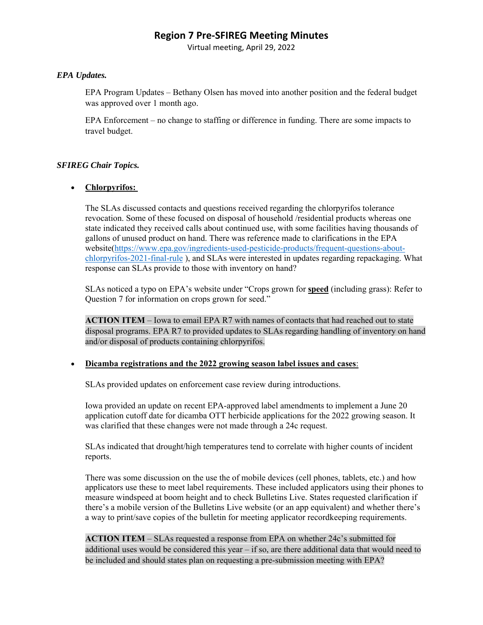Virtual meeting, April 29, 2022

### *EPA Updates.*

EPA Program Updates – Bethany Olsen has moved into another position and the federal budget was approved over 1 month ago.

EPA Enforcement – no change to staffing or difference in funding. There are some impacts to travel budget.

## *SFIREG Chair Topics.*

## **Chlorpyrifos:**

The SLAs discussed contacts and questions received regarding the chlorpyrifos tolerance revocation. Some of these focused on disposal of household /residential products whereas one state indicated they received calls about continued use, with some facilities having thousands of gallons of unused product on hand. There was reference made to clarifications in the EPA website(https://www.epa.gov/ingredients-used-pesticide-products/frequent-questions-aboutchlorpyrifos-2021-final-rule ), and SLAs were interested in updates regarding repackaging. What response can SLAs provide to those with inventory on hand?

SLAs noticed a typo on EPA's website under "Crops grown for **speed** (including grass): Refer to Question 7 for information on crops grown for seed."

**ACTION ITEM** – Iowa to email EPA R7 with names of contacts that had reached out to state disposal programs. EPA R7 to provided updates to SLAs regarding handling of inventory on hand and/or disposal of products containing chlorpyrifos.

### **Dicamba registrations and the 2022 growing season label issues and cases**:

SLAs provided updates on enforcement case review during introductions.

Iowa provided an update on recent EPA-approved label amendments to implement a June 20 application cutoff date for dicamba OTT herbicide applications for the 2022 growing season. It was clarified that these changes were not made through a 24c request.

SLAs indicated that drought/high temperatures tend to correlate with higher counts of incident reports.

There was some discussion on the use the of mobile devices (cell phones, tablets, etc.) and how applicators use these to meet label requirements. These included applicators using their phones to measure windspeed at boom height and to check Bulletins Live. States requested clarification if there's a mobile version of the Bulletins Live website (or an app equivalent) and whether there's a way to print/save copies of the bulletin for meeting applicator recordkeeping requirements.

**ACTION ITEM** – SLAs requested a response from EPA on whether 24c's submitted for additional uses would be considered this year  $-$  if so, are there additional data that would need to be included and should states plan on requesting a pre-submission meeting with EPA?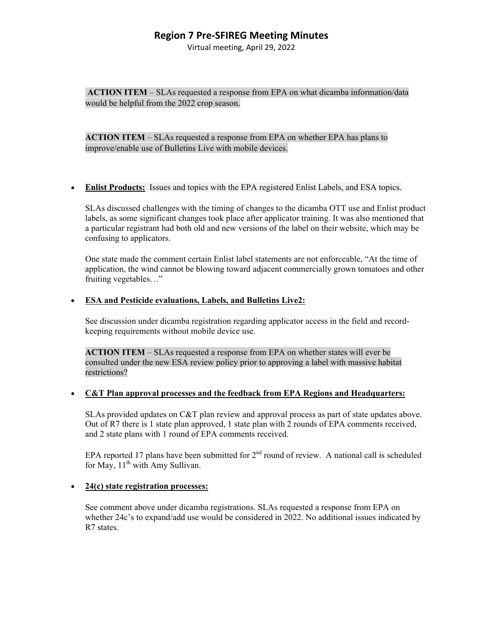Virtual meeting, April 29, 2022

**ACTION ITEM** – SLAs requested a response from EPA on what dicamba information/data would be helpful from the 2022 crop season.

**ACTION ITEM** – SLAs requested a response from EPA on whether EPA has plans to improve/enable use of Bulletins Live with mobile devices.

**Enlist Products:** Issues and topics with the EPA registered Enlist Labels, and ESA topics.

SLAs discussed challenges with the timing of changes to the dicamba OTT use and Enlist product labels, as some significant changes took place after applicator training. It was also mentioned that a particular registrant had both old and new versions of the label on their website, which may be confusing to applicators.

One state made the comment certain Enlist label statements are not enforceable, "At the time of application, the wind cannot be blowing toward adjacent commercially grown tomatoes and other fruiting vegetables…"

#### **ESA and Pesticide evaluations, Labels, and Bulletins Live2:**

See discussion under dicamba registration regarding applicator access in the field and recordkeeping requirements without mobile device use.

**ACTION ITEM** – SLAs requested a response from EPA on whether states will ever be consulted under the new ESA review policy prior to approving a label with massive habitat restrictions?

#### **C&T Plan approval processes and the feedback from EPA Regions and Headquarters:**

SLAs provided updates on C&T plan review and approval process as part of state updates above. Out of R7 there is 1 state plan approved, 1 state plan with 2 rounds of EPA comments received, and 2 state plans with 1 round of EPA comments received.

EPA reported 17 plans have been submitted for  $2<sup>nd</sup>$  round of review. A national call is scheduled for May,  $11<sup>th</sup>$  with Amy Sullivan.

### **24(c) state registration processes:**

See comment above under dicamba registrations. SLAs requested a response from EPA on whether 24c's to expand/add use would be considered in 2022. No additional issues indicated by R7 states.